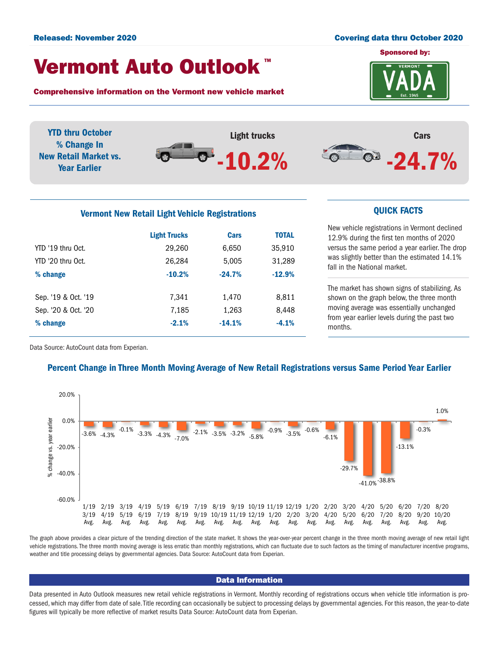#### Released: November 2020 **Covering data thru October 2020**

# Vermont Auto Outlook TM

Comprehensive information on the Vermont new vehicle market



YTD thru October Light trucks Cars % Change In  $^{\circ}$  -24.7%  $\bullet$ New Retail Market vs. -10.2% Year Earlier

# Vermont New Retail Light Vehicle Registrations **CUICK FACTS**

|                     | <b>Light Trucks</b> | Cars     | <b>TOTAL</b> |  |
|---------------------|---------------------|----------|--------------|--|
| YTD '19 thru Oct.   | 29,260              | 6,650    | 35,910       |  |
| YTD '20 thru Oct.   | 26,284              | 5,005    | 31,289       |  |
| % change            | $-10.2%$            | $-24.7%$ | $-12.9%$     |  |
|                     |                     |          |              |  |
| Sep. '19 & Oct. '19 | 7.341               | 1,470    | 8,811        |  |
| Sep. '20 & Oct. '20 | 7,185               | 1,263    | 8,448        |  |
| % change            | $-2.1%$             | $-14.1%$ | $-4.1%$      |  |
|                     |                     |          |              |  |

New vehicle registrations in Vermont declined 12.9% during the first ten months of 2020 versus the same period a year earlier. The drop was slightly better than the estimated 14.1% fall in the National market.

The market has shown signs of stabilizing. As shown on the graph below, the three month moving average was essentially unchanged from year earlier levels during the past two months.

Data Source: AutoCount data from Experian.

## Percent Change in Three Month Moving Average of New Retail Registrations versus Same Period Year Earlier



The graph above provides a clear picture of the trending direction of the state market. It shows the year-over-year percent change in the three month moving average of new retail light vehicle registrations. The three month moving average is less erratic than monthly registrations, which can fluctuate due to such factors as the timing of manufacturer incentive programs, weather and title processing delays by governmental agencies. Data Source: AutoCount data from Experian.

#### Data Information

Data presented in Auto Outlook measures new retail vehicle registrations in Vermont. Monthly recording of registrations occurs when vehicle title information is processed, which may differ from date of sale. Title recording can occasionally be subject to processing delays by governmental agencies. For this reason, the year-to-date figures will typically be more reflective of market results Data Source: AutoCount data from Experian.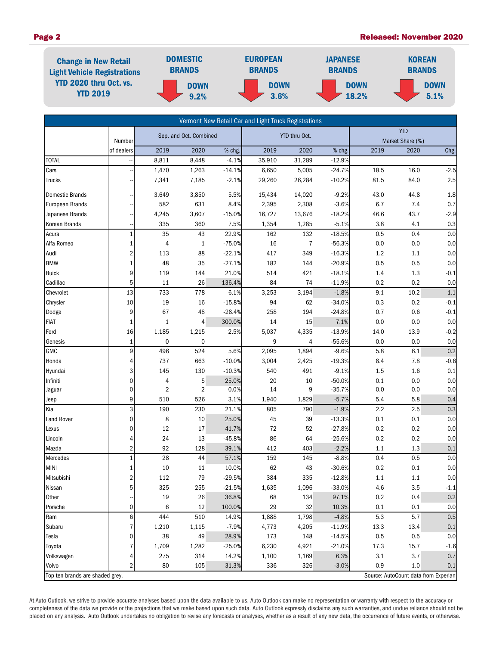### Page 2 Released: November 2020



|                                 |                |                        |                |          | Vermont New Retail Car and Light Truck Registrations |        |            |         |                                      |         |
|---------------------------------|----------------|------------------------|----------------|----------|------------------------------------------------------|--------|------------|---------|--------------------------------------|---------|
|                                 |                | Sep. and Oct. Combined |                |          | YTD thru Oct.                                        |        | <b>YTD</b> |         |                                      |         |
|                                 | Number         |                        |                |          |                                                      |        |            |         | Market Share (%)                     |         |
|                                 | of dealers     | 2019                   | 2020           | % chg.   | 2019                                                 | 2020   | % chg.     | 2019    | 2020                                 | Chg.    |
| <b>TOTAL</b>                    |                | 8,811                  | 8,448          | $-4.1%$  | 35,910                                               | 31,289 | $-12.9%$   |         |                                      |         |
| Cars                            |                | 1,470                  | 1,263          | $-14.1%$ | 6,650                                                | 5,005  | $-24.7%$   | 18.5    | 16.0                                 | $-2.5$  |
| <b>Trucks</b>                   |                | 7,341                  | 7,185          | $-2.1%$  | 29,260                                               | 26,284 | $-10.2%$   | 81.5    | 84.0                                 | 2.5     |
| <b>Domestic Brands</b>          |                | 3,649                  | 3,850          | 5.5%     | 15,434                                               | 14,020 | $-9.2%$    | 43.0    | 44.8                                 | 1.8     |
| <b>European Brands</b>          |                | 582                    | 631            | 8.4%     | 2,395                                                | 2,308  | $-3.6%$    | 6.7     | 7.4                                  | 0.7     |
| Japanese Brands                 |                | 4,245                  | 3,607          | $-15.0%$ | 16,727                                               | 13,676 | $-18.2%$   | 46.6    | 43.7                                 | $-2.9$  |
| Korean Brands                   |                | 335                    | 360            | 7.5%     | 1,354                                                | 1,285  | $-5.1%$    | 3.8     | 4.1                                  | 0.3     |
| Acura                           | 1              | 35                     | 43             | 22.9%    | 162                                                  | 132    | $-18.5%$   | 0.5     | 0.4                                  | 0.0     |
| Alfa Romeo                      | 1              | 4                      | $\mathbf{1}$   | $-75.0%$ | 16                                                   | 7      | $-56.3%$   | 0.0     | 0.0                                  | 0.0     |
| Audi                            | $\overline{2}$ | 113                    | 88             | $-22.1%$ | 417                                                  | 349    | $-16.3%$   | 1.2     | 1.1                                  | 0.0     |
| <b>BMW</b>                      | $\mathbf{1}$   | 48                     | 35             | $-27.1%$ | 182                                                  | 144    | $-20.9%$   | 0.5     | 0.5                                  | 0.0     |
| <b>Buick</b>                    | 9              | 119                    | 144            | 21.0%    | 514                                                  | 421    | $-18.1%$   | 1.4     | 1.3                                  | $-0.1$  |
| Cadillac                        | 5              | $11\,$                 | 26             | 136.4%   | 84                                                   | 74     | $-11.9%$   | 0.2     | 0.2                                  | 0.0     |
| Chevrolet                       | 13             | 733                    | 778            | 6.1%     | 3,253                                                | 3,194  | $-1.8%$    | 9.1     | 10.2                                 | 1.1     |
| Chrysler                        | 10             | 19                     | 16             | $-15.8%$ | 94                                                   | 62     | $-34.0%$   | 0.3     | 0.2                                  | $-0.1$  |
| Dodge                           | 9              | 67                     | 48             | $-28.4%$ | 258                                                  | 194    | $-24.8%$   | 0.7     | 0.6                                  | $-0.1$  |
| <b>FIAT</b>                     | 1              | $\mathbf{1}$           | 4              | 300.0%   | 14                                                   | 15     | 7.1%       | 0.0     | 0.0                                  | 0.0     |
| Ford                            | 16             | 1,185                  | 1,215          | 2.5%     | 5,037                                                | 4,335  | $-13.9%$   | 14.0    | 13.9                                 | $-0.2$  |
| Genesis                         | $\mathbf{1}$   | 0                      | 0              |          | 9                                                    | 4      | $-55.6%$   | 0.0     | 0.0                                  | 0.0     |
| <b>GMC</b>                      | 9              | 496                    | 524            | 5.6%     | 2,095                                                | 1,894  | $-9.6%$    | 5.8     | 6.1                                  | 0.2     |
| Honda                           | 4              | 737                    | 663            | $-10.0%$ | 3,004                                                | 2,425  | $-19.3%$   | 8.4     | 7.8                                  | $-0.6$  |
| Hyundai                         | 3              | 145                    | 130            | $-10.3%$ | 540                                                  | 491    | $-9.1%$    | 1.5     | 1.6                                  | 0.1     |
| Infiniti                        | 0              | 4                      | 5              | 25.0%    | 20                                                   | 10     | $-50.0%$   | 0.1     | 0.0                                  | 0.0     |
| Jaguar                          | 0              | $\overline{2}$         | $\overline{2}$ | 0.0%     | 14                                                   | 9      | $-35.7%$   | 0.0     | 0.0                                  | 0.0     |
| Jeep                            | 9              | 510                    | 526            | 3.1%     | 1,940                                                | 1,829  | $-5.7%$    | 5.4     | 5.8                                  | 0.4     |
| Kia                             | 3              | 190                    | 230            | 21.1%    | 805                                                  | 790    | $-1.9%$    | 2.2     | 2.5                                  | 0.3     |
| Land Rover                      | 0              | 8                      | 10             | 25.0%    | 45                                                   | 39     | $-13.3%$   | 0.1     | 0.1                                  | 0.0     |
| Lexus                           | 0              | 12                     | 17             | 41.7%    | $72\,$                                               | 52     | $-27.8%$   | 0.2     | $0.2\,$                              | 0.0     |
| Lincoln                         | 4              | 24                     | 13             | $-45.8%$ | 86                                                   | 64     | $-25.6%$   | 0.2     | 0.2                                  | $0.0\,$ |
| Mazda                           | $\overline{2}$ | 92                     | 128            | 39.1%    | 412                                                  | 403    | $-2.2%$    | 1.1     | 1.3                                  | 0.1     |
| Mercedes                        | $\mathbf{1}$   | 28                     | 44             | 57.1%    | 159                                                  | 145    | $-8.8%$    | 0.4     | 0.5                                  | 0.0     |
| <b>MINI</b>                     | 1              | 10                     | 11             | 10.0%    | 62                                                   | 43     | $-30.6%$   | 0.2     | 0.1                                  | 0.0     |
| Mitsubishi                      | $\overline{2}$ | 112                    | 79             | $-29.5%$ | 384                                                  | 335    | $-12.8%$   | 1.1     | 1.1                                  | 0.0     |
| Nissan                          | 5              | 325                    | 255            | $-21.5%$ | 1,635                                                | 1,096  | $-33.0%$   | 4.6     | 3.5                                  | $-1.1$  |
| Other                           |                | $19\,$                 | 26             | 36.8%    | 68                                                   | 134    | 97.1%      | $0.2\,$ | 0.4                                  | 0.2     |
| Porsche                         | 0              | 6                      | 12             | 100.0%   | 29                                                   | 32     | 10.3%      | 0.1     | 0.1                                  | 0.0     |
| Ram                             | 6              | 444                    | 510            | 14.9%    | 1,888                                                | 1,798  | $-4.8%$    | 5.3     | 5.7                                  | 0.5     |
| Subaru                          |                | 1,210                  | 1,115          | $-7.9%$  | 4,773                                                | 4,205  | $-11.9%$   | 13.3    | 13.4                                 | $0.1\,$ |
| Tesla                           | 0              | 38                     | 49             | 28.9%    | 173                                                  | 148    | $-14.5%$   | 0.5     | 0.5                                  | 0.0     |
| Toyota                          |                | 1,709                  | 1,282          | $-25.0%$ | 6,230                                                | 4,921  | $-21.0%$   | 17.3    | 15.7                                 | $-1.6$  |
| Volkswagen                      | 4              | 275                    | 314            | 14.2%    | 1,100                                                | 1,169  | 6.3%       | 3.1     | 3.7                                  | 0.7     |
| Volvo                           | 2              | 80                     | 105            | 31.3%    | 336                                                  | 326    | $-3.0%$    | 0.9     | 1.0                                  | 0.1     |
| Top ten brands are shaded grey. |                |                        |                |          |                                                      |        |            |         | Source: AutoCount data from Experian |         |

At Auto Outlook, we strive to provide accurate analyses based upon the data available to us. Auto Outlook can make no representation or warranty with respect to the accuracy or completeness of the data we provide or the projections that we make based upon such data. Auto Outlook expressly disclaims any such warranties, and undue reliance should not be placed on any analysis. Auto Outlook undertakes no obligation to revise any forecasts or analyses, whether as a result of any new data, the occurrence of future events, or otherwise.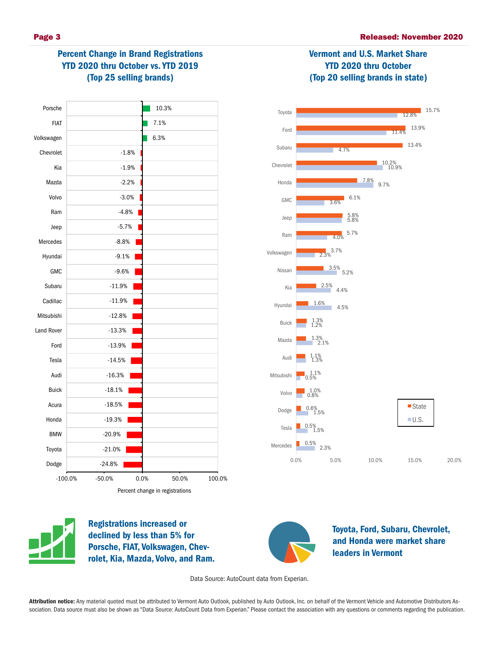Vermont and U.S. Market Share YTD 2020 thru October (Top 20 selling brands in state)

# Percent Change in Brand Registrations YTD 2020 thru October vs. YTD 2019 (Top 25 selling brands)







Registrations increased or declined by less than 5% for Porsche, FIAT, Volkswagen, Chevrolet, Kia, Mazda, Volvo, and Ram.



Toyota, Ford, Subaru, Chevrolet, and Honda were market share leaders in Vermont

Data Source: AutoCount data from Experian.

Attribution notice: Any material quoted must be attributed to Vermont Auto Outlook, published by Auto Outlook, Inc. on behalf of the Vermont Vehicle and Automotive Distributors Association. Data source must also be shown as "Data Source: AutoCount Data from Experian." Please contact the association with any questions or comments regarding the publication.